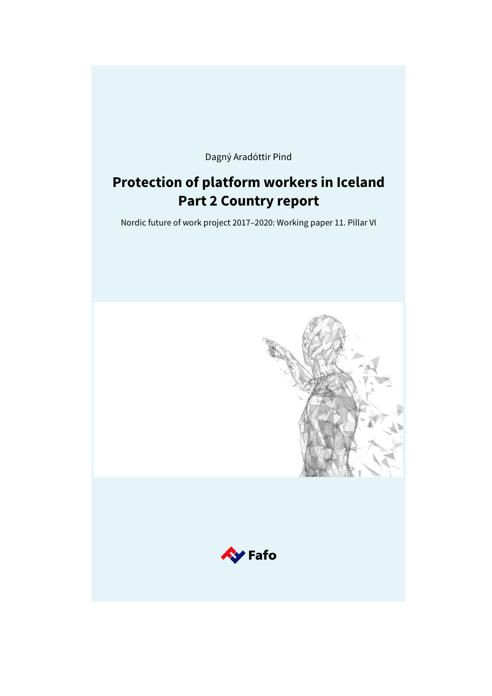Dagný Aradóttir Pind

# **Protection of platform workers in Iceland Part 2 Country report**

Nordic future of work project 2017–2020: Working paper 11. Pillar VI

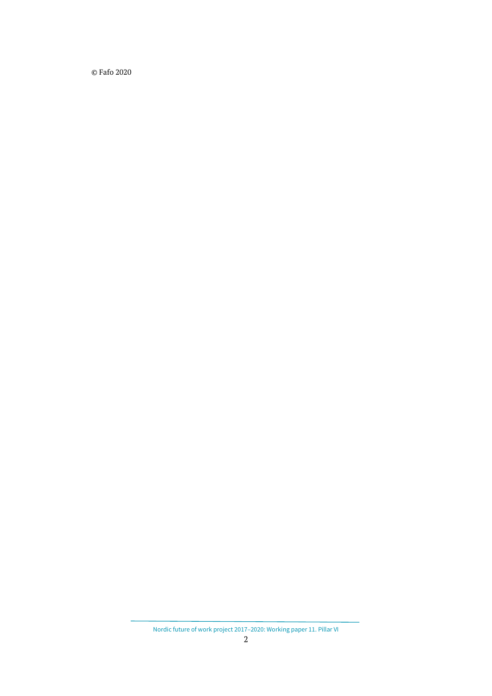© Fafo 2020

Nordic future of work project 2017–2020: Working paper 11. Pillar VI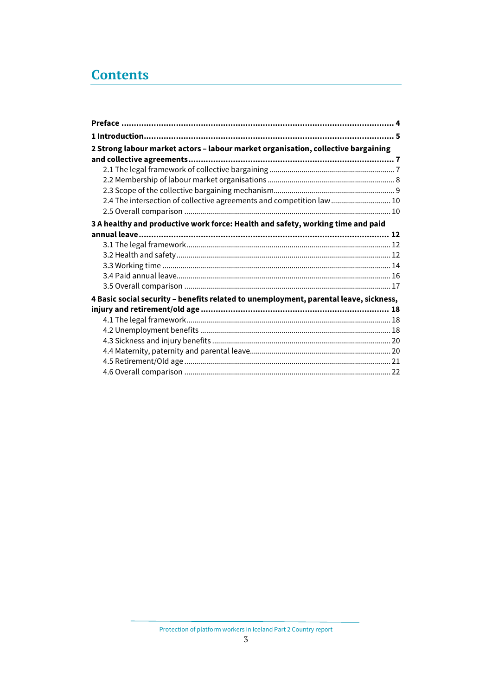# **Contents**

| 2 Strong labour market actors - labour market organisation, collective bargaining     |  |
|---------------------------------------------------------------------------------------|--|
|                                                                                       |  |
|                                                                                       |  |
|                                                                                       |  |
|                                                                                       |  |
| 2.4 The intersection of collective agreements and competition law 10                  |  |
|                                                                                       |  |
| 3 A healthy and productive work force: Health and safety, working time and paid       |  |
|                                                                                       |  |
|                                                                                       |  |
|                                                                                       |  |
|                                                                                       |  |
|                                                                                       |  |
|                                                                                       |  |
| 4 Basic social security - benefits related to unemployment, parental leave, sickness, |  |
|                                                                                       |  |
|                                                                                       |  |
|                                                                                       |  |
|                                                                                       |  |
|                                                                                       |  |
|                                                                                       |  |
|                                                                                       |  |

Protection of platform workers in Iceland Part 2 Country report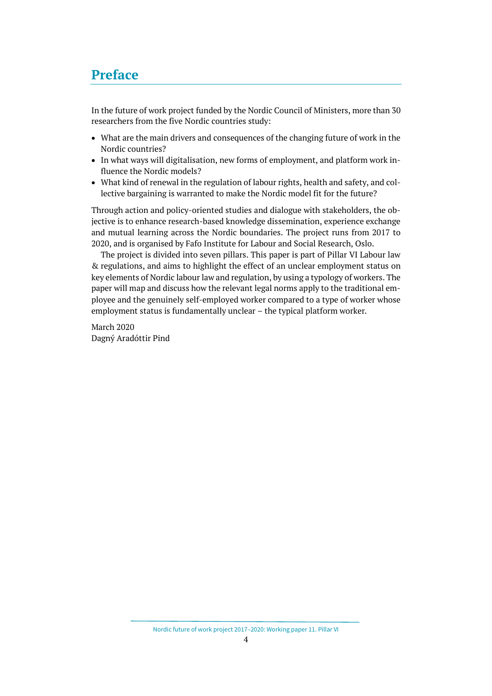## <span id="page-3-0"></span>**Preface**

In the future of work project funded by the Nordic Council of Ministers, more than 30 researchers from the five Nordic countries study:

- What are the main drivers and consequences of the changing future of work in the Nordic countries?
- In what ways will digitalisation, new forms of employment, and platform work influence the Nordic models?
- What kind of renewal in the regulation of labour rights, health and safety, and collective bargaining is warranted to make the Nordic model fit for the future?

Through action and policy-oriented studies and dialogue with stakeholders, the objective is to enhance research-based knowledge dissemination, experience exchange and mutual learning across the Nordic boundaries. The project runs from 2017 to 2020, and is organised by Fafo Institute for Labour and Social Research, Oslo.

The project is divided into seven pillars. This paper is part of Pillar VI Labour law & regulations, and aims to highlight the effect of an unclear employment status on key elements of Nordic labour law and regulation, by using a typology of workers. The paper will map and discuss how the relevant legal norms apply to the traditional employee and the genuinely self-employed worker compared to a type of worker whose employment status is fundamentally unclear – the typical platform worker*.*

March 2020 Dagný Aradóttir Pind

Nordic future of work project 2017–2020: Working paper 11. Pillar VI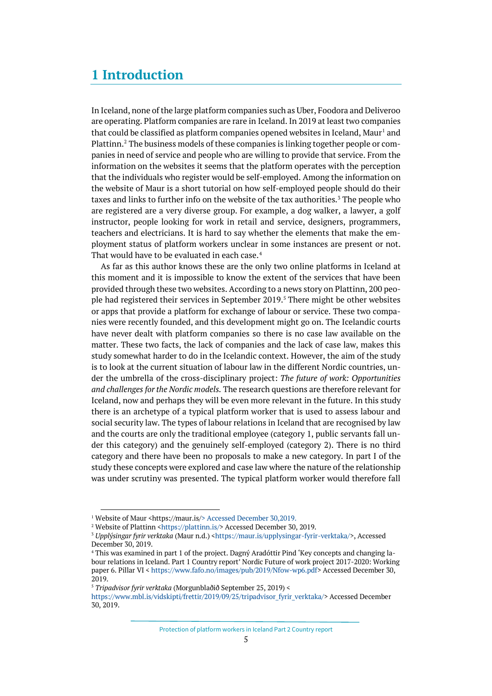## <span id="page-4-0"></span>**1 Introduction**

In Iceland, none of the large platform companies such as Uber, Foodora and Deliveroo are operating. Platform companies are rare in Iceland. In 2019 at least two companies that could be classified as platform companies opened websites in Iceland, Maur<sup>[1](#page-4-1)</sup> and Plattinn.[2](#page-4-2) The business models of these companies is linking together people or companies in need of service and people who are willing to provide that service. From the information on the websites it seems that the platform operates with the perception that the individuals who register would be self-employed. Among the information on the website of Maur is a short tutorial on how self-employed people should do their taxes and links to further info on the website of the tax authorities.<sup>[3](#page-4-3)</sup> The people who are registered are a very diverse group. For example, a dog walker, a lawyer, a golf instructor, people looking for work in retail and service, designers, programmers, teachers and electricians. It is hard to say whether the elements that make the employment status of platform workers unclear in some instances are present or not. That would have to be evaluated in each case.<sup>[4](#page-4-4)</sup>

As far as this author knows these are the only two online platforms in Iceland at this moment and it is impossible to know the extent of the services that have been provided through these two websites. According to a news story on Plattinn, 200 people had registered their services in September 2019.[5](#page-4-5) There might be other websites or apps that provide a platform for exchange of labour or service. These two companies were recently founded, and this development might go on. The Icelandic courts have never dealt with platform companies so there is no case law available on the matter. These two facts, the lack of companies and the lack of case law, makes this study somewhat harder to do in the Icelandic context. However, the aim of the study is to look at the current situation of labour law in the different Nordic countries, under the umbrella of the cross-disciplinary project: *The future of work: Opportunities and challenges for the Nordic models.* The research questions are therefore relevant for Iceland, now and perhaps they will be even more relevant in the future. In this study there is an archetype of a typical platform worker that is used to assess labour and social security law. The types of labour relations in Iceland that are recognised by law and the courts are only the traditional employee (category 1, public servants fall under this category) and the genuinely self-employed (category 2). There is no third category and there have been no proposals to make a new category. In part I of the study these concepts were explored and case law where the nature of the relationship was under scrutiny was presented. The typical platform worker would therefore fall

<sup>&</sup>lt;sup>1</sup> Website of Maur <https://maur.is/> Accessed December 30,2019.

<span id="page-4-3"></span><span id="page-4-2"></span><span id="page-4-1"></span><sup>&</sup>lt;sup>2</sup> Website of Plattinn [<https://plattinn.is/>](https://plattinn.is/) Accessed December 30, 2019.<br><sup>3</sup> *Upplýsingar fyrir verktaka* (Maur n.d.) [<https://maur.is/upplysingar-fyrir-verktaka/>](https://maur.is/upplysingar-fyrir-verktaka/), Accessed December 30, 2019.

<span id="page-4-4"></span><sup>4</sup> This was examined in part 1 of the project. Dagný Aradóttir Pind 'Key concepts and changing labour relations in Iceland. Part 1 Country report' Nordic Future of work project 2017-2020: Working paper 6. Pillar VI < [https://www.fafo.no/images/pub/2019/Nfow-wp6.pdf>](https://www.fafo.no/images/pub/2019/Nfow-wp6.pdf) Accessed December 30, 2019.

<span id="page-4-5"></span><sup>5</sup> *Tripadvisor fyrir verktaka* (Morgunblaðið September 25, 2019) <

[https://www.mbl.is/vidskipti/frettir/2019/09/25/tripadvisor\\_fyrir\\_verktaka/>](https://www.mbl.is/vidskipti/frettir/2019/09/25/tripadvisor_fyrir_verktaka/) Accessed December 30, 2019.

Protection of platform workers in Iceland Part 2 Country report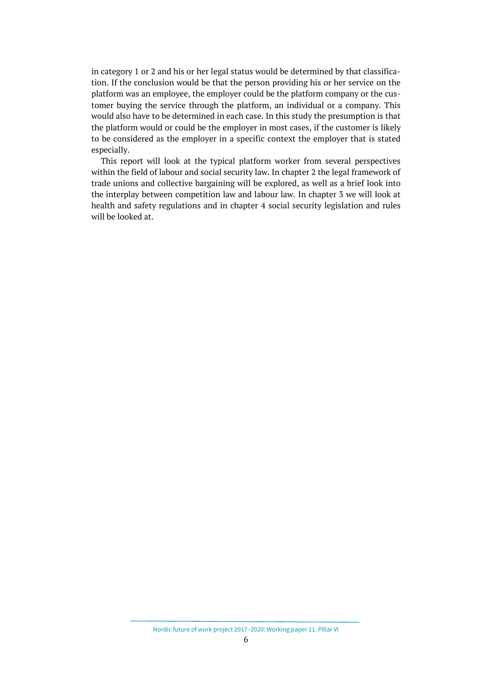in category 1 or 2 and his or her legal status would be determined by that classification. If the conclusion would be that the person providing his or her service on the platform was an employee, the employer could be the platform company or the customer buying the service through the platform, an individual or a company. This would also have to be determined in each case. In this study the presumption is that the platform would or could be the employer in most cases, if the customer is likely to be considered as the employer in a specific context the employer that is stated especially.

This report will look at the typical platform worker from several perspectives within the field of labour and social security law. In chapter 2 the legal framework of trade unions and collective bargaining will be explored, as well as a brief look into the interplay between competition law and labour law. In chapter 3 we will look at health and safety regulations and in chapter 4 social security legislation and rules will be looked at.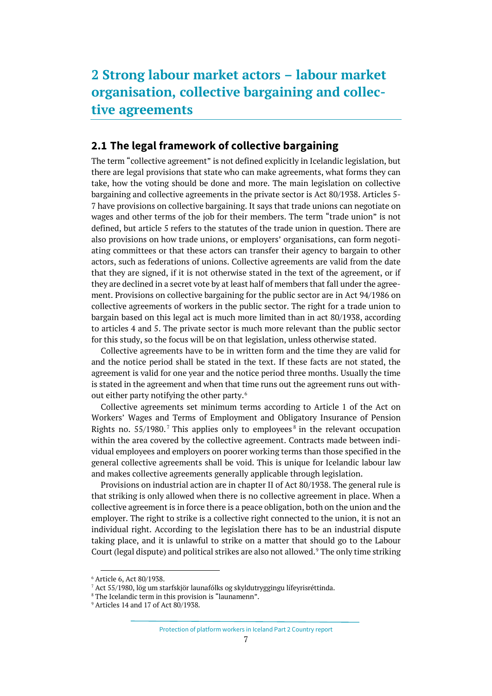# <span id="page-6-0"></span>**2 Strong labour market actors – labour market organisation, collective bargaining and collective agreements**

## <span id="page-6-1"></span>**2.1 The legal framework of collective bargaining**

The term "collective agreement" is not defined explicitly in Icelandic legislation, but there are legal provisions that state who can make agreements, what forms they can take, how the voting should be done and more. The main legislation on collective bargaining and collective agreements in the private sector is Act 80/1938. Articles 5- 7 have provisions on collective bargaining. It says that trade unions can negotiate on wages and other terms of the job for their members. The term "trade union" is not defined, but article 5 refers to the statutes of the trade union in question. There are also provisions on how trade unions, or employers' organisations, can form negotiating committees or that these actors can transfer their agency to bargain to other actors, such as federations of unions. Collective agreements are valid from the date that they are signed, if it is not otherwise stated in the text of the agreement, or if they are declined in a secret vote by at least half of members that fall under the agreement. Provisions on collective bargaining for the public sector are in Act 94/1986 on collective agreements of workers in the public sector. The right for a trade union to bargain based on this legal act is much more limited than in act 80/1938, according to articles 4 and 5. The private sector is much more relevant than the public sector for this study, so the focus will be on that legislation, unless otherwise stated.

Collective agreements have to be in written form and the time they are valid for and the notice period shall be stated in the text. If these facts are not stated, the agreement is valid for one year and the notice period three months. Usually the time is stated in the agreement and when that time runs out the agreement runs out without either party notifying the other party.[6](#page-6-2)

Collective agreements set minimum terms according to Article 1 of the Act on Workers' Wages and Terms of Employment and Obligatory Insurance of Pension Rights no.  $55/1980$  $55/1980$  $55/1980$ .<sup>[7](#page-6-3)</sup> This applies only to employees<sup>8</sup> in the relevant occupation within the area covered by the collective agreement. Contracts made between individual employees and employers on poorer working terms than those specified in the general collective agreements shall be void. This is unique for Icelandic labour law and makes collective agreements generally applicable through legislation.

Provisions on industrial action are in chapter II of Act 80/1938. The general rule is that striking is only allowed when there is no collective agreement in place. When a collective agreement is in force there is a peace obligation, both on the union and the employer. The right to strike is a collective right connected to the union, it is not an individual right. According to the legislation there has to be an industrial dispute taking place, and it is unlawful to strike on a matter that should go to the Labour Court (legal dispute) and political strikes are also not allowed.<sup>[9](#page-6-5)</sup> The only time striking

<sup>6</sup> Article 6, Act 80/1938.

<span id="page-6-4"></span><span id="page-6-3"></span><span id="page-6-2"></span><sup>&</sup>lt;sup>7</sup> Act 55/1980, lög um starfskjör launafólks og skyldutryggingu lífeyrisréttinda.<br><sup>8</sup> The Icelandic term in this provision is "launamenn".

<span id="page-6-5"></span><sup>&</sup>lt;sup>9</sup> Articles 14 and 17 of Act 80/1938.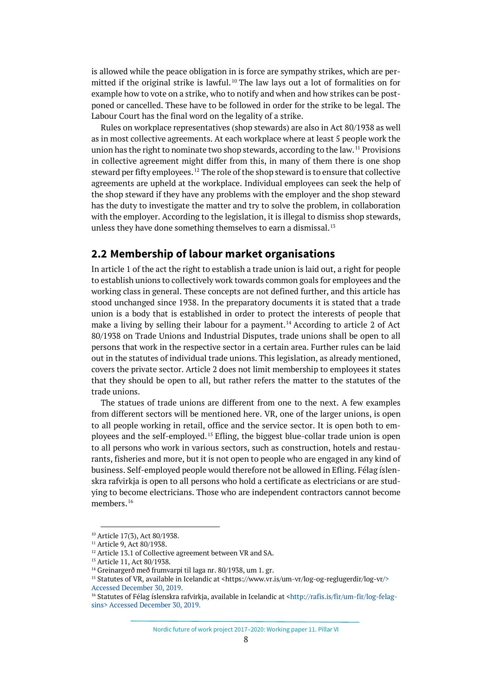is allowed while the peace obligation in is force are sympathy strikes, which are permitted if the original strike is lawful. [10](#page-7-1) The law lays out a lot of formalities on for example how to vote on a strike, who to notify and when and how strikes can be postponed or cancelled. These have to be followed in order for the strike to be legal. The Labour Court has the final word on the legality of a strike.

Rules on workplace representatives (shop stewards) are also in Act 80/1938 as well as in most collective agreements. At each workplace where at least 5 people work the union has the right to nominate two shop stewards, according to the law.<sup>[11](#page-7-2)</sup> Provisions in collective agreement might differ from this, in many of them there is one shop steward per fifty employees.<sup>[12](#page-7-3)</sup> The role of the shop steward is to ensure that collective agreements are upheld at the workplace. Individual employees can seek the help of the shop steward if they have any problems with the employer and the shop steward has the duty to investigate the matter and try to solve the problem, in collaboration with the employer. According to the legislation, it is illegal to dismiss shop stewards, unless they have done something themselves to earn a dismissal. $13$ 

#### <span id="page-7-0"></span>**2.2 Membership of labour market organisations**

In article 1 of the act the right to establish a trade union is laid out, a right for people to establish unions to collectively work towards common goals for employees and the working class in general. These concepts are not defined further, and this article has stood unchanged since 1938. In the preparatory documents it is stated that a trade union is a body that is established in order to protect the interests of people that make a living by selling their labour for a payment.<sup>[14](#page-7-5)</sup> According to article 2 of Act 80/1938 on Trade Unions and Industrial Disputes, trade unions shall be open to all persons that work in the respective sector in a certain area. Further rules can be laid out in the statutes of individual trade unions. This legislation, as already mentioned, covers the private sector. Article 2 does not limit membership to employees it states that they should be open to all, but rather refers the matter to the statutes of the trade unions.

The statues of trade unions are different from one to the next. A few examples from different sectors will be mentioned here. VR, one of the larger unions, is open to all people working in retail, office and the service sector. It is open both to employees and the self-employed. [15](#page-7-6) Efling, the biggest blue-collar trade union is open to all persons who work in various sectors, such as construction, hotels and restaurants, fisheries and more, but it is not open to people who are engaged in any kind of business. Self-employed people would therefore not be allowed in Efling. Félag íslenskra rafvirkja is open to all persons who hold a certificate as electricians or are studying to become electricians. Those who are independent contractors cannot become members.<sup>[16](#page-7-7)</sup>

<span id="page-7-1"></span><sup>10</sup> Article 17(3), Act 80/1938.

<span id="page-7-2"></span><sup>&</sup>lt;sup>11</sup> Article 9, Act 80/1938.

<span id="page-7-3"></span><sup>&</sup>lt;sup>12</sup> Article 13.1 of Collective agreement between VR and SA.

<span id="page-7-4"></span><sup>13</sup> Article 11, Act 80/1938.

<span id="page-7-5"></span><sup>&</sup>lt;sup>14</sup> Greinargerð með frumvarpi til laga nr. 80/1938, um 1. gr.

<span id="page-7-6"></span><sup>&</sup>lt;sup>15</sup> Statutes of VR, available in Icelandic at <https://www.vr.is/um-vr/log-og-reglugerdir/log-vr/> Accessed December 30, 2019.

<span id="page-7-7"></span><sup>&</sup>lt;sup>16</sup> Statutes of Félag íslenskra rafvirkja, available in Icelandic at [<http://rafis.is/fir/um-fir/log-felag](http://rafis.is/fir/um-fir/log-felagsins)[sins>](http://rafis.is/fir/um-fir/log-felagsins) Accessed December 30, 2019.

Nordic future of work project 2017–2020: Working paper 11. Pillar VI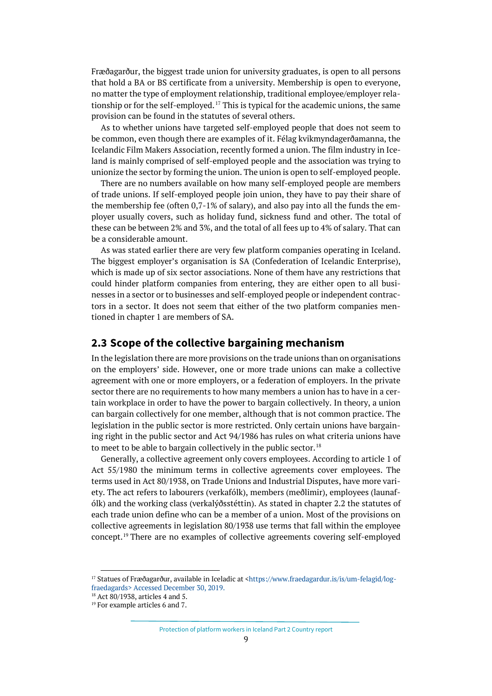Fræðagarður, the biggest trade union for university graduates, is open to all persons that hold a BA or BS certificate from a university. Membership is open to everyone, no matter the type of employment relationship, traditional employee/employer relationship or for the self-employed. [17](#page-8-1) This is typical for the academic unions, the same provision can be found in the statutes of several others.

As to whether unions have targeted self-employed people that does not seem to be common, even though there are examples of it. Félag kvikmyndagerðamanna, the Icelandic Film Makers Association, recently formed a union. The film industry in Iceland is mainly comprised of self-employed people and the association was trying to unionize the sector by forming the union. The union is open to self-employed people.

There are no numbers available on how many self-employed people are members of trade unions. If self-employed people join union, they have to pay their share of the membership fee (often 0,7-1% of salary), and also pay into all the funds the employer usually covers, such as holiday fund, sickness fund and other. The total of these can be between 2% and 3%, and the total of all fees up to 4% of salary. That can be a considerable amount.

As was stated earlier there are very few platform companies operating in Iceland. The biggest employer's organisation is SA (Confederation of Icelandic Enterprise), which is made up of six sector associations. None of them have any restrictions that could hinder platform companies from entering, they are either open to all businesses in a sector or to businesses and self-employed people or independent contractors in a sector. It does not seem that either of the two platform companies mentioned in chapter 1 are members of SA.

### <span id="page-8-0"></span>**2.3 Scope of the collective bargaining mechanism**

In the legislation there are more provisions on the trade unions than on organisations on the employers' side. However, one or more trade unions can make a collective agreement with one or more employers, or a federation of employers. In the private sector there are no requirements to how many members a union has to have in a certain workplace in order to have the power to bargain collectively. In theory, a union can bargain collectively for one member, although that is not common practice. The legislation in the public sector is more restricted. Only certain unions have bargaining right in the public sector and Act 94/1986 has rules on what criteria unions have to meet to be able to bargain collectively in the public sector.<sup>[18](#page-8-2)</sup>

Generally, a collective agreement only covers employees. According to article 1 of Act 55/1980 the minimum terms in collective agreements cover employees. The terms used in Act 80/1938, on Trade Unions and Industrial Disputes, have more variety. The act refers to labourers (verkafólk), members (meðlimir), employees (launafólk) and the working class (verkalýðsstéttin). As stated in chapter 2.2 the statutes of each trade union define who can be a member of a union. Most of the provisions on collective agreements in legislation 80/1938 use terms that fall within the employee concept.[19](#page-8-3) There are no examples of collective agreements covering self-employed

<span id="page-8-1"></span><sup>&</sup>lt;sup>17</sup> Statues of Fræðagarður, available in Iceladic at [<https://www.fraedagardur.is/is/um-felagid/log](https://www.fraedagardur.is/is/um-felagid/log-fraedagards)[fraedagards>](https://www.fraedagardur.is/is/um-felagid/log-fraedagards) Accessed December 30, 2019.<br><sup>18</sup> Act 80/1938, articles 4 and 5.<br><sup>19</sup> For example articles 6 and 7.

<span id="page-8-3"></span><span id="page-8-2"></span>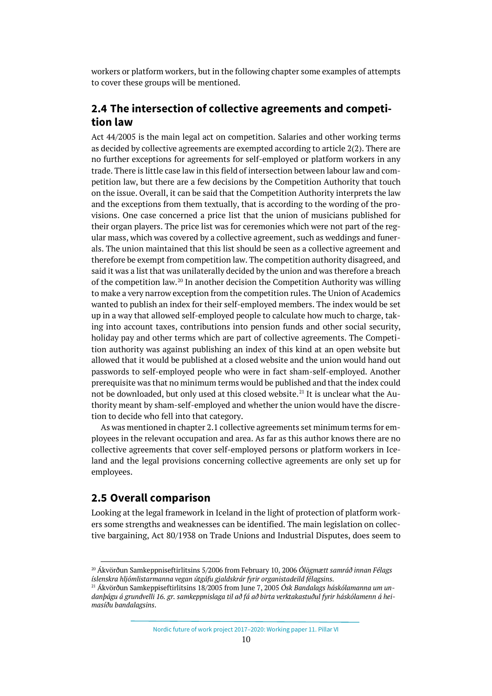workers or platform workers, but in the following chapter some examples of attempts to cover these groups will be mentioned.

## <span id="page-9-0"></span>**2.4 The intersection of collective agreements and competition law**

Act 44/2005 is the main legal act on competition. Salaries and other working terms as decided by collective agreements are exempted according to article 2(2). There are no further exceptions for agreements for self-employed or platform workers in any trade. There is little case law in this field of intersection between labour law and competition law, but there are a few decisions by the Competition Authority that touch on the issue. Overall, it can be said that the Competition Authority interprets the law and the exceptions from them textually, that is according to the wording of the provisions. One case concerned a price list that the union of musicians published for their organ players. The price list was for ceremonies which were not part of the regular mass, which was covered by a collective agreement, such as weddings and funerals. The union maintained that this list should be seen as a collective agreement and therefore be exempt from competition law. The competition authority disagreed, and said it was a list that was unilaterally decided by the union and was therefore a breach of the competition law.[20](#page-9-2) In another decision the Competition Authority was willing to make a very narrow exception from the competition rules. The Union of Academics wanted to publish an index for their self-employed members. The index would be set up in a way that allowed self-employed people to calculate how much to charge, taking into account taxes, contributions into pension funds and other social security, holiday pay and other terms which are part of collective agreements. The Competition authority was against publishing an index of this kind at an open website but allowed that it would be published at a closed website and the union would hand out passwords to self-employed people who were in fact sham-self-employed. Another prerequisite was that no minimum terms would be published and that the index could not be downloaded, but only used at this closed website.<sup>[21](#page-9-3)</sup> It is unclear what the Authority meant by sham-self-employed and whether the union would have the discretion to decide who fell into that category.

As was mentioned in chapter 2.1 collective agreements set minimum terms for employees in the relevant occupation and area. As far as this author knows there are no collective agreements that cover self-employed persons or platform workers in Iceland and the legal provisions concerning collective agreements are only set up for employees.

### <span id="page-9-1"></span>**2.5 Overall comparison**

Looking at the legal framework in Iceland in the light of protection of platform workers some strengths and weaknesses can be identified. The main legislation on collective bargaining, Act 80/1938 on Trade Unions and Industrial Disputes, does seem to

<span id="page-9-2"></span><sup>20</sup> Ákvörðun Samkeppniseftirlitsins 5/2006 from February 10, 2006 *Ólögmætt samráð innan Félags íslenskra hljómlistarmanna vegan útgáfu gjaldskrár fyrir organistadeild félagsins*. 21 Ákvörðun Samkeppiseftirlitsins 18/2005 from June 7, 2005 *Ósk Bandalags háskólamanna um un-*

<span id="page-9-3"></span>*danþágu á grundvelli 16. gr. samkeppnislaga til að fá að birta verktakastuðul fyrir háskólamenn á heimasíðu bandalagsins*.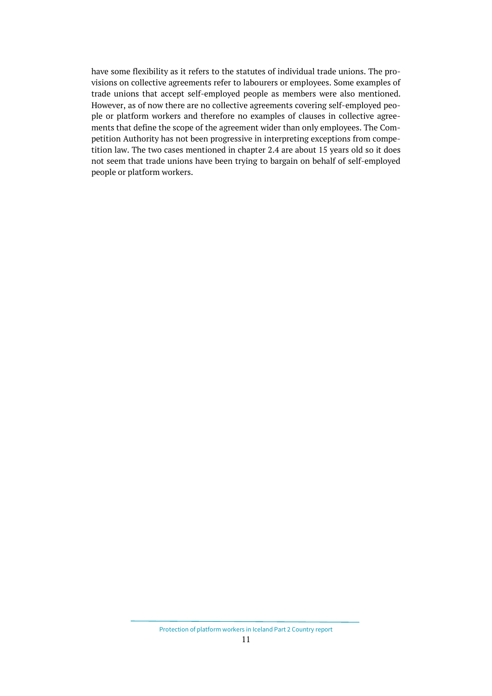have some flexibility as it refers to the statutes of individual trade unions. The provisions on collective agreements refer to labourers or employees. Some examples of trade unions that accept self-employed people as members were also mentioned. However, as of now there are no collective agreements covering self-employed people or platform workers and therefore no examples of clauses in collective agreements that define the scope of the agreement wider than only employees. The Competition Authority has not been progressive in interpreting exceptions from competition law. The two cases mentioned in chapter 2.4 are about 15 years old so it does not seem that trade unions have been trying to bargain on behalf of self-employed people or platform workers.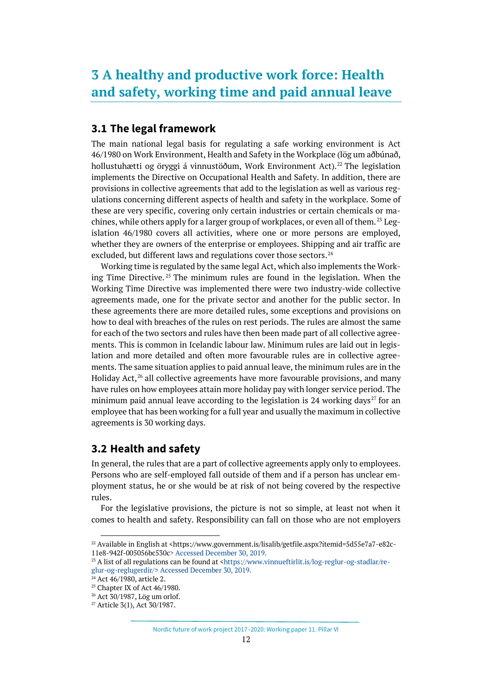## <span id="page-11-0"></span>**3 A healthy and productive work force: Health and safety, working time and paid annual leave**

## <span id="page-11-1"></span>**3.1 The legal framework**

The main national legal basis for regulating a safe working environment is Act 46/1980 on Work Environment, Health and Safety in the Workplace (lög um aðbúnað, hollustuhætti og öryggi á vinnustöðum, Work Environment Act).<sup>[22](#page-11-3)</sup> The legislation implements the Directive on Occupational Health and Safety. In addition, there are provisions in collective agreements that add to the legislation as well as various regulations concerning different aspects of health and safety in the workplace. Some of these are very specific, covering only certain industries or certain chemicals or machines, while others apply for a larger group of workplaces, or even all of them.  $^{23}$  $^{23}$  $^{23}$  Legislation 46/1980 covers all activities, where one or more persons are employed, whether they are owners of the enterprise or employees. Shipping and air traffic are excluded, but different laws and regulations cover those sectors.<sup>[24](#page-11-5)</sup>

Working time is regulated by the same legal Act, which also implements the Working Time Directive. [25](#page-11-6) The minimum rules are found in the legislation. When the Working Time Directive was implemented there were two industry-wide collective agreements made, one for the private sector and another for the public sector. In these agreements there are more detailed rules, some exceptions and provisions on how to deal with breaches of the rules on rest periods. The rules are almost the same for each of the two sectors and rules have then been made part of all collective agreements. This is common in Icelandic labour law. Minimum rules are laid out in legislation and more detailed and often more favourable rules are in collective agreements. The same situation applies to paid annual leave, the minimum rules are in the Holiday Act, $^{26}$  $^{26}$  $^{26}$  all collective agreements have more favourable provisions, and many have rules on how employees attain more holiday pay with longer service period. The minimum paid annual leave according to the legislation is 24 working days<sup>[27](#page-11-8)</sup> for an employee that has been working for a full year and usually the maximum in collective agreements is 30 working days.

## <span id="page-11-2"></span>**3.2 Health and safety**

In general, the rules that are a part of collective agreements apply only to employees. Persons who are self-employed fall outside of them and if a person has unclear employment status, he or she would be at risk of not being covered by the respective rules.

For the legislative provisions, the picture is not so simple, at least not when it comes to health and safety. Responsibility can fall on those who are not employers

<span id="page-11-3"></span><sup>&</sup>lt;sup>22</sup> Available in English at <https://www.government.is/lisalib/getfile.aspx?itemid=5d55e7a7-e82c-11e8-942f-005056bc530c> Accessed December 30, 2019.

<span id="page-11-4"></span> $^{23}$  A list of all regulations can be found at  $\frac{\text{th}}{\text{th}}/$ //www.vinnueftirlit.is/log-reglur-og-stadlar/re[glur-og-reglugerdir/>](https://www.vinnueftirlit.is/log-reglur-og-stadlar/reglur-og-reglugerdir/) Accessed December 30, 2019.

<span id="page-11-6"></span><span id="page-11-5"></span><sup>&</sup>lt;sup>24</sup> Act 46/1980, article 2.<br><sup>25</sup> Chapter IX of Act 46/1980.

<span id="page-11-7"></span><sup>26</sup> Act 30/1987, Lög um orlof.

<span id="page-11-8"></span><sup>27</sup> Article 3(1), Act 30/1987.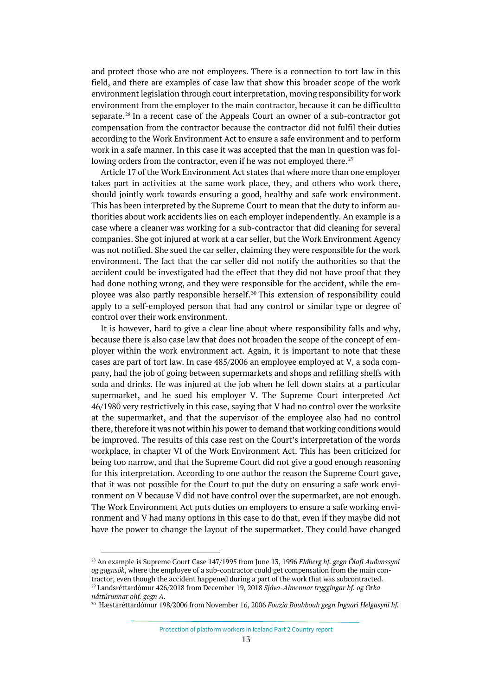and protect those who are not employees. There is a connection to tort law in this field, and there are examples of case law that show this broader scope of the work environment legislation through court interpretation, moving responsibility for work environment from the employer to the main contractor, because it can be difficultto separate.<sup>[28](#page-12-0)</sup> In a recent case of the Appeals Court an owner of a sub-contractor got compensation from the contractor because the contractor did not fulfil their duties according to the Work Environment Act to ensure a safe environment and to perform work in a safe manner. In this case it was accepted that the man in question was fol-lowing orders from the contractor, even if he was not employed there.<sup>[29](#page-12-1)</sup>

Article 17 of the Work Environment Act states that where more than one employer takes part in activities at the same work place, they, and others who work there, should jointly work towards ensuring a good, healthy and safe work environment. This has been interpreted by the Supreme Court to mean that the duty to inform authorities about work accidents lies on each employer independently. An example is a case where a cleaner was working for a sub-contractor that did cleaning for several companies. She got injured at work at a car seller, but the Work Environment Agency was not notified. She sued the car seller, claiming they were responsible for the work environment. The fact that the car seller did not notify the authorities so that the accident could be investigated had the effect that they did not have proof that they had done nothing wrong, and they were responsible for the accident, while the employee was also partly responsible herself. [30](#page-12-2) This extension of responsibility could apply to a self-employed person that had any control or similar type or degree of control over their work environment.

It is however, hard to give a clear line about where responsibility falls and why, because there is also case law that does not broaden the scope of the concept of employer within the work environment act. Again, it is important to note that these cases are part of tort law. In case 485/2006 an employee employed at V, a soda company, had the job of going between supermarkets and shops and refilling shelfs with soda and drinks. He was injured at the job when he fell down stairs at a particular supermarket, and he sued his employer V. The Supreme Court interpreted Act 46/1980 very restrictively in this case, saying that V had no control over the worksite at the supermarket, and that the supervisor of the employee also had no control there, therefore it was not within his power to demand that working conditions would be improved. The results of this case rest on the Court's interpretation of the words workplace, in chapter VI of the Work Environment Act. This has been criticized for being too narrow, and that the Supreme Court did not give a good enough reasoning for this interpretation. According to one author the reason the Supreme Court gave, that it was not possible for the Court to put the duty on ensuring a safe work environment on V because V did not have control over the supermarket, are not enough. The Work Environment Act puts duties on employers to ensure a safe working environment and V had many options in this case to do that, even if they maybe did not have the power to change the layout of the supermarket. They could have changed

Protection of platform workers in Iceland Part 2 Country report

<span id="page-12-0"></span><sup>28</sup> An example is Supreme Court Case 147/1995 from June 13, 1996 *Eldberg hf. gegn Ólafi Auðunssyni og gagnsök*, where the employee of a sub-contractor could get compensation from the main contractor, even though the accident happened during a part of the work that was subcontracted.

<span id="page-12-2"></span><span id="page-12-1"></span><sup>29</sup> Landsréttardómur 426/2018 from December 19, 2018 *Sjóva-Almennar tryggingar hf. og Orka náttúrunnar ohf. gegn A*. 30 Hæstaréttardómur 198/2006 from November 16, 2006 *Fouzia Bouhbouh gegn Ingvari Helgasyni hf.*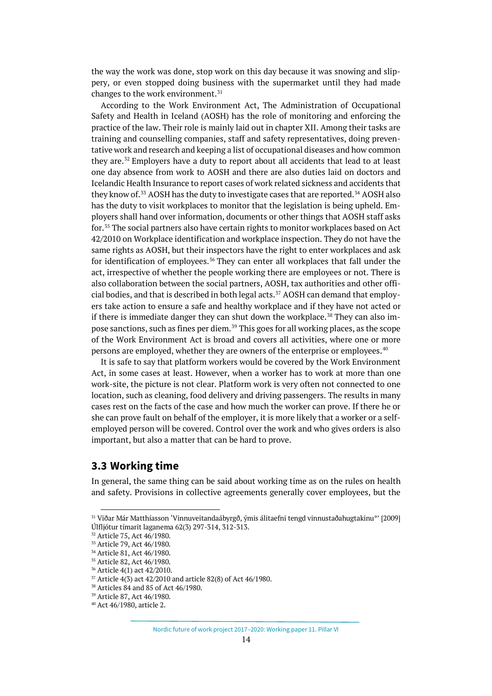the way the work was done, stop work on this day because it was snowing and slippery, or even stopped doing business with the supermarket until they had made changes to the work environment.<sup>[31](#page-13-1)</sup>

According to the Work Environment Act, The Administration of Occupational Safety and Health in Iceland (AOSH) has the role of monitoring and enforcing the practice of the law. Their role is mainly laid out in chapter XII. Among their tasks are training and counselling companies, staff and safety representatives, doing preventative work and research and keeping a list of occupational diseases and how common they are.<sup>[32](#page-13-2)</sup> Employers have a duty to report about all accidents that lead to at least one day absence from work to AOSH and there are also duties laid on doctors and Icelandic Health Insurance to report cases of work related sickness and accidents that they know of.<sup>[33](#page-13-3)</sup> AOSH has the duty to investigate cases that are reported.<sup>[34](#page-13-4)</sup> AOSH also has the duty to visit workplaces to monitor that the legislation is being upheld. Employers shall hand over information, documents or other things that AOSH staff asks for.[35](#page-13-5) The social partners also have certain rights to monitor workplaces based on Act 42/2010 on Workplace identification and workplace inspection. They do not have the same rights as AOSH, but their inspectors have the right to enter workplaces and ask for identification of employees.<sup>[36](#page-13-6)</sup> They can enter all workplaces that fall under the act, irrespective of whether the people working there are employees or not. There is also collaboration between the social partners, AOSH, tax authorities and other offi-cial bodies, and that is described in both legal acts.<sup>[37](#page-13-7)</sup> AOSH can demand that employers take action to ensure a safe and healthy workplace and if they have not acted or if there is immediate danger they can shut down the workplace.<sup>[38](#page-13-8)</sup> They can also im-pose sanctions, such as fines per diem.<sup>[39](#page-13-9)</sup> This goes for all working places, as the scope of the Work Environment Act is broad and covers all activities, where one or more persons are employed, whether they are owners of the enterprise or employees.<sup>[40](#page-13-10)</sup>

It is safe to say that platform workers would be covered by the Work Environment Act, in some cases at least. However, when a worker has to work at more than one work-site, the picture is not clear. Platform work is very often not connected to one location, such as cleaning, food delivery and driving passengers. The results in many cases rest on the facts of the case and how much the worker can prove. If there he or she can prove fault on behalf of the employer, it is more likely that a worker or a selfemployed person will be covered. Control over the work and who gives orders is also important, but also a matter that can be hard to prove.

#### <span id="page-13-0"></span>**3.3 Working time**

In general, the same thing can be said about working time as on the rules on health and safety. Provisions in collective agreements generally cover employees, but the

<span id="page-13-1"></span><sup>31</sup> Viðar Már Matthíasson 'Vinnuveitandaábyrgð, ýmis álitaefni tengd vinnustaðahugtakinu\*' [2009] Úlfljótur tímarit laganema 62(3) 297-314, 312-313.

<sup>32</sup> Article 75, Act 46/1980.

<span id="page-13-4"></span><span id="page-13-3"></span><span id="page-13-2"></span><sup>&</sup>lt;sup>33</sup> Article 79, Act 46/1980.<br><sup>34</sup> Article 81, Act 46/1980.

<span id="page-13-5"></span><sup>&</sup>lt;sup>35</sup> Article 82, Act 46/1980.<br><sup>36</sup> Article 4(1) act 42/2010.

<span id="page-13-6"></span>

<span id="page-13-7"></span><sup>37</sup> Article 4(3) act 42/2010 and article 82(8) of Act 46/1980.

<span id="page-13-8"></span><sup>38</sup> Articles 84 and 85 of Act 46/1980.

<sup>39</sup> Article 87, Act 46/1980.

<span id="page-13-10"></span><span id="page-13-9"></span><sup>40</sup> Act 46/1980, article 2.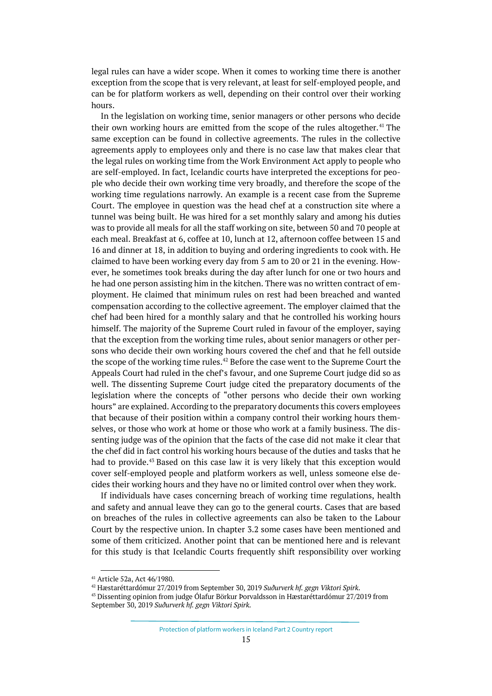legal rules can have a wider scope. When it comes to working time there is another exception from the scope that is very relevant, at least for self-employed people, and can be for platform workers as well, depending on their control over their working hours.

In the legislation on working time, senior managers or other persons who decide their own working hours are emitted from the scope of the rules altogether.<sup>[41](#page-14-0)</sup> The same exception can be found in collective agreements. The rules in the collective agreements apply to employees only and there is no case law that makes clear that the legal rules on working time from the Work Environment Act apply to people who are self-employed. In fact, Icelandic courts have interpreted the exceptions for people who decide their own working time very broadly, and therefore the scope of the working time regulations narrowly. An example is a recent case from the Supreme Court. The employee in question was the head chef at a construction site where a tunnel was being built. He was hired for a set monthly salary and among his duties was to provide all meals for all the staff working on site, between 50 and 70 people at each meal. Breakfast at 6, coffee at 10, lunch at 12, afternoon coffee between 15 and 16 and dinner at 18, in addition to buying and ordering ingredients to cook with. He claimed to have been working every day from 5 am to 20 or 21 in the evening. However, he sometimes took breaks during the day after lunch for one or two hours and he had one person assisting him in the kitchen. There was no written contract of employment. He claimed that minimum rules on rest had been breached and wanted compensation according to the collective agreement. The employer claimed that the chef had been hired for a monthly salary and that he controlled his working hours himself. The majority of the Supreme Court ruled in favour of the employer, saying that the exception from the working time rules, about senior managers or other persons who decide their own working hours covered the chef and that he fell outside the scope of the working time rules.<sup>[42](#page-14-1)</sup> Before the case went to the Supreme Court the Appeals Court had ruled in the chef's favour, and one Supreme Court judge did so as well. The dissenting Supreme Court judge cited the preparatory documents of the legislation where the concepts of "other persons who decide their own working hours" are explained. According to the preparatory documents this covers employees that because of their position within a company control their working hours themselves, or those who work at home or those who work at a family business. The dissenting judge was of the opinion that the facts of the case did not make it clear that the chef did in fact control his working hours because of the duties and tasks that he had to provide.[43](#page-14-2) Based on this case law it is very likely that this exception would cover self-employed people and platform workers as well, unless someone else decides their working hours and they have no or limited control over when they work.

If individuals have cases concerning breach of working time regulations, health and safety and annual leave they can go to the general courts. Cases that are based on breaches of the rules in collective agreements can also be taken to the Labour Court by the respective union. In chapter 3.2 some cases have been mentioned and some of them criticized. Another point that can be mentioned here and is relevant for this study is that Icelandic Courts frequently shift responsibility over working

<span id="page-14-0"></span><sup>41</sup> Article 52a, Act 46/1980. 42 Hæstaréttardómur 27/2019 from September 30, 2019 *Suðurverk hf. gegn Viktori Spirk*.

<span id="page-14-2"></span><span id="page-14-1"></span><sup>43</sup> Dissenting opinion from judge Ólafur Börkur Þorvaldsson in Hæstaréttardómur 27/2019 from September 30, 2019 *Suðurverk hf. gegn Viktori Spirk*.

Protection of platform workers in Iceland Part 2 Country report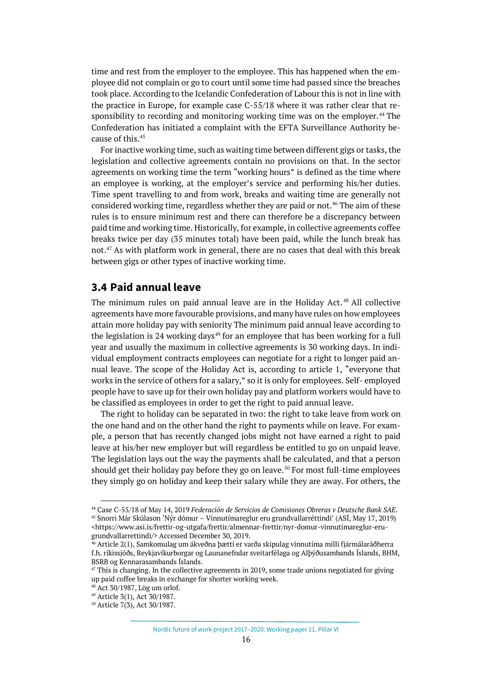time and rest from the employer to the employee. This has happened when the employee did not complain or go to court until some time had passed since the breaches took place. According to the Icelandic Confederation of Labour this is not in line with the practice in Europe, for example case C-55/18 where it was rather clear that re-sponsibility to recording and monitoring working time was on the employer.<sup>[44](#page-15-1)</sup> The Confederation has initiated a complaint with the EFTA Surveillance Authority because of this.[45](#page-15-2)

For inactive working time, such as waiting time between different gigs or tasks, the legislation and collective agreements contain no provisions on that. In the sector agreements on working time the term "working hours" is defined as the time where an employee is working, at the employer's service and performing his/her duties. Time spent travelling to and from work, breaks and waiting time are generally not considered working time, regardless whether they are paid or not.<sup>[46](#page-15-3)</sup> The aim of these rules is to ensure minimum rest and there can therefore be a discrepancy between paid time and working time. Historically, for example, in collective agreements coffee breaks twice per day (35 minutes total) have been paid, while the lunch break has not.[47](#page-15-4) As with platform work in general, there are no cases that deal with this break between gigs or other types of inactive working time.

### <span id="page-15-0"></span>**3.4 Paid annual leave**

The minimum rules on paid annual leave are in the Holiday Act. [48](#page-15-5) All collective agreements have more favourable provisions, and many have rules on how employees attain more holiday pay with seniority The minimum paid annual leave according to the legislation is 24 working days $49$  for an employee that has been working for a full year and usually the maximum in collective agreements is 30 working days. In individual employment contracts employees can negotiate for a right to longer paid annual leave. The scope of the Holiday Act is, according to article 1, "everyone that works in the service of others for a salary," so it is only for employees. Self- employed people have to save up for their own holiday pay and platform workers would have to be classified as employees in order to get the right to paid annual leave.

The right to holiday can be separated in two: the right to take leave from work on the one hand and on the other hand the right to payments while on leave. For example, a person that has recently changed jobs might not have earned a right to paid leave at his/her new employer but will regardless be entitled to go on unpaid leave. The legislation lays out the way the payments shall be calculated, and that a person should get their holiday pay before they go on leave.<sup>[50](#page-15-7)</sup> For most full-time employees they simply go on holiday and keep their salary while they are away. For others, the

<span id="page-15-2"></span><span id="page-15-1"></span><sup>44</sup> Case C-55/18 of May 14, 2019 *Federación de Servicios de Comisiones Obreras v Deutsche Bank SAE*. <sup>45</sup> Snorri Már Skúlason 'Nýr dómur – Vinnutímareglur eru grundvallarréttindi' (ASÍ, May 17, 2019) <https://www.asi.is/frettir-og-utgafa/frettir/almennar-frettir/nyr-domur-vinnutimareglur-erugrundvallarrettindi/> Accessed December 30, 2019.<br><sup>46</sup> Article 2(1), Samkomulag um ákveðna þætti er varða skipulag vinnutíma milli fjármálaráðherra

<span id="page-15-3"></span>f.h. ríkissjóðs, Reykjavíkurborgar og Launanefndar sveitarfélaga og Alþýðusambands Íslands, BHM, BSRB og Kennarasambands Íslands.

<span id="page-15-4"></span> $47$  This is changing. In the collective agreements in 2019, some trade unions negotiated for giving up paid coffee breaks in exchange for shorter working week.

<span id="page-15-5"></span><sup>48</sup> Act 30/1987, Lög um orlof.

<span id="page-15-6"></span><sup>49</sup> Article 3(1), Act 30/1987.

<span id="page-15-7"></span><sup>50</sup> Article 7(3), Act 30/1987.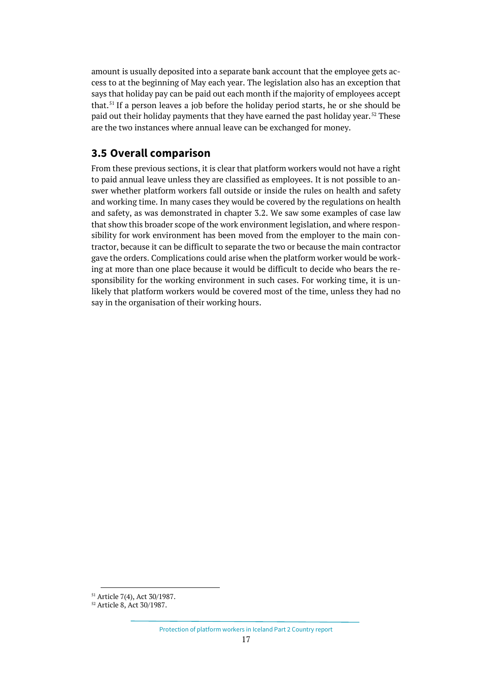amount is usually deposited into a separate bank account that the employee gets access to at the beginning of May each year. The legislation also has an exception that says that holiday pay can be paid out each month if the majority of employees accept that.<sup>[51](#page-16-1)</sup> If a person leaves a job before the holiday period starts, he or she should be paid out their holiday payments that they have earned the past holiday year.<sup>[52](#page-16-2)</sup> These are the two instances where annual leave can be exchanged for money.

## <span id="page-16-0"></span>**3.5 Overall comparison**

From these previous sections, it is clear that platform workers would not have a right to paid annual leave unless they are classified as employees. It is not possible to answer whether platform workers fall outside or inside the rules on health and safety and working time. In many cases they would be covered by the regulations on health and safety, as was demonstrated in chapter 3.2. We saw some examples of case law that show this broader scope of the work environment legislation, and where responsibility for work environment has been moved from the employer to the main contractor, because it can be difficult to separate the two or because the main contractor gave the orders. Complications could arise when the platform worker would be working at more than one place because it would be difficult to decide who bears the responsibility for the working environment in such cases. For working time, it is unlikely that platform workers would be covered most of the time, unless they had no say in the organisation of their working hours.

<span id="page-16-2"></span><span id="page-16-1"></span><sup>51</sup> Article 7(4), Act 30/1987.

<sup>52</sup> Article 8, Act 30/1987.

Protection of platform workers in Iceland Part 2 Country report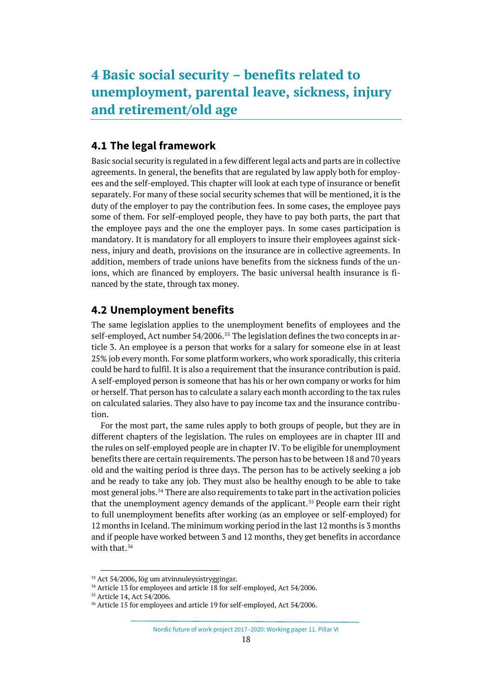## <span id="page-17-1"></span><span id="page-17-0"></span>**4.1 The legal framework**

Basic social security is regulated in a few different legal acts and parts are in collective agreements. In general, the benefits that are regulated by law apply both for employees and the self-employed. This chapter will look at each type of insurance or benefit separately. For many of these social security schemes that will be mentioned, it is the duty of the employer to pay the contribution fees. In some cases, the employee pays some of them. For self-employed people, they have to pay both parts, the part that the employee pays and the one the employer pays. In some cases participation is mandatory. It is mandatory for all employers to insure their employees against sickness, injury and death, provisions on the insurance are in collective agreements. In addition, members of trade unions have benefits from the sickness funds of the unions, which are financed by employers. The basic universal health insurance is financed by the state, through tax money.

### <span id="page-17-2"></span>**4.2 Unemployment benefits**

The same legislation applies to the unemployment benefits of employees and the self-employed, Act number 54/2006.<sup>[53](#page-17-3)</sup> The legislation defines the two concepts in article 3. An employee is a person that works for a salary for someone else in at least 25% job every month. For some platform workers, who work sporadically, this criteria could be hard to fulfil. It is also a requirement that the insurance contribution is paid. A self-employed person is someone that has his or her own company or works for him or herself. That person has to calculate a salary each month according to the tax rules on calculated salaries. They also have to pay income tax and the insurance contribution.

For the most part, the same rules apply to both groups of people, but they are in different chapters of the legislation. The rules on employees are in chapter III and the rules on self-employed people are in chapter IV. To be eligible for unemployment benefits there are certain requirements. The person has to be between 18 and 70 years old and the waiting period is three days. The person has to be actively seeking a job and be ready to take any job. They must also be healthy enough to be able to take most general jobs.<sup>[54](#page-17-4)</sup> There are also requirements to take part in the activation policies that the unemployment agency demands of the applicant.<sup>[55](#page-17-5)</sup> People earn their right to full unemployment benefits after working (as an employee or self-employed) for 12 months in Iceland. The minimum working period in the last 12 months is 3 months and if people have worked between 3 and 12 months, they get benefits in accordance with that.<sup>[56](#page-17-6)</sup>

Nordic future of work project 2017–2020: Working paper 11. Pillar VI

<span id="page-17-3"></span><sup>53</sup> Act 54/2006, lög um atvinnuleysistryggingar.

<sup>54</sup> Article 13 for employees and article 18 for self-employed, Act 54/2006.

<span id="page-17-6"></span><span id="page-17-5"></span><span id="page-17-4"></span><sup>55</sup> Article 14, Act 54/2006.

<sup>56</sup> Article 15 for employees and article 19 for self-employed, Act 54/2006.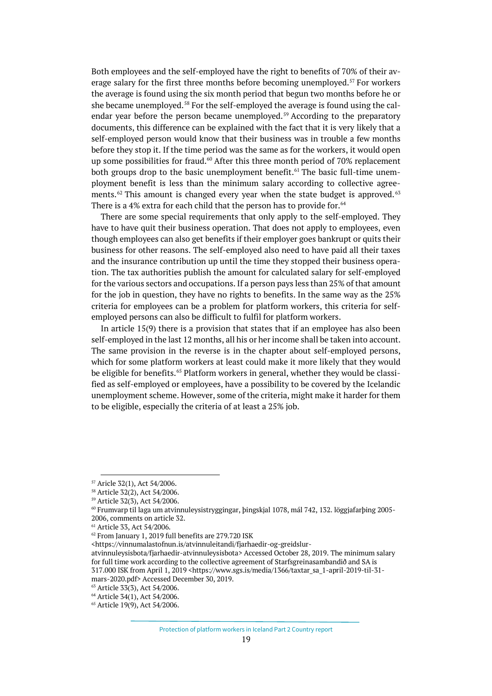Both employees and the self-employed have the right to benefits of 70% of their av-erage salary for the first three months before becoming unemployed.<sup>[57](#page-18-0)</sup> For workers the average is found using the six month period that begun two months before he or she became unemployed.<sup>[58](#page-18-1)</sup> For the self-employed the average is found using the cal-endar year before the person became unemployed.<sup>[59](#page-18-2)</sup> According to the preparatory documents, this difference can be explained with the fact that it is very likely that a self-employed person would know that their business was in trouble a few months before they stop it. If the time period was the same as for the workers, it would open up some possibilities for fraud.<sup>60</sup> After this three month period of  $70\%$  replacement both groups drop to the basic unemployment benefit.<sup> $61$ </sup> The basic full-time unemployment benefit is less than the minimum salary according to collective agree-ments.<sup>[62](#page-18-5)</sup> This amount is changed every year when the state budget is approved.<sup>[63](#page-18-6)</sup> There is a 4% extra for each child that the person has to provide for.<sup>[64](#page-18-7)</sup>

There are some special requirements that only apply to the self-employed. They have to have quit their business operation. That does not apply to employees, even though employees can also get benefits if their employer goes bankrupt or quits their business for other reasons. The self-employed also need to have paid all their taxes and the insurance contribution up until the time they stopped their business operation. The tax authorities publish the amount for calculated salary for self-employed for the various sectors and occupations. If a person pays less than 25% of that amount for the job in question, they have no rights to benefits. In the same way as the 25% criteria for employees can be a problem for platform workers, this criteria for selfemployed persons can also be difficult to fulfil for platform workers.

In article 15(9) there is a provision that states that if an employee has also been self-employed in the last 12 months, all his or her income shall be taken into account. The same provision in the reverse is in the chapter about self-employed persons, which for some platform workers at least could make it more likely that they would be eligible for benefits.<sup>[65](#page-18-8)</sup> Platform workers in general, whether they would be classified as self-employed or employees, have a possibility to be covered by the Icelandic unemployment scheme. However, some of the criteria, might make it harder for them to be eligible, especially the criteria of at least a 25% job.

<sup>57</sup> Aricle 32(1), Act 54/2006.

<span id="page-18-2"></span><span id="page-18-1"></span><span id="page-18-0"></span><sup>&</sup>lt;sup>58</sup> Article 32(2), Act 54/2006.<br><sup>59</sup> Article 32(3), Act 54/2006.

<span id="page-18-3"></span><sup>60</sup> Frumvarp til laga um atvinnuleysistryggingar, þingskjal 1078, mál 742, 132. löggjafarþing 2005- 2006, comments on article 32.

<span id="page-18-4"></span><sup>61</sup> Article 33, Act 54/2006.

<span id="page-18-5"></span><sup>&</sup>lt;sup>62</sup> From January 1, 2019 full benefits are 279.720 ISK

<sup>&</sup>lt;https://vinnumalastofnun.is/atvinnuleitandi/fjarhaedir-og-greidslur-

atvinnuleysisbota/fjarhaedir-atvinnuleysisbota> Accessed October 28, 2019. The minimum salary for full time work according to the collective agreement of Starfsgreinasambandið and SA is 317.000 ISK from April 1, 2019 <https://www.sgs.is/media/1366/taxtar\_sa\_1-april-2019-til-31-

mars-2020.pdf> Accessed December 30, 2019.

<span id="page-18-6"></span><sup>63</sup> Article 33(3), Act 54/2006.

<span id="page-18-7"></span><sup>64</sup> Article 34(1), Act 54/2006.

<span id="page-18-8"></span><sup>65</sup> Article 19(9), Act 54/2006.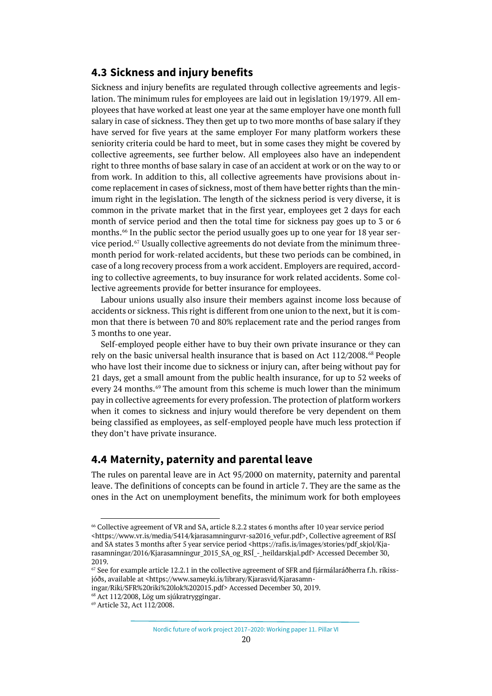#### <span id="page-19-0"></span>**4.3 Sickness and injury benefits**

Sickness and injury benefits are regulated through collective agreements and legislation. The minimum rules for employees are laid out in legislation 19/1979. All employees that have worked at least one year at the same employer have one month full salary in case of sickness. They then get up to two more months of base salary if they have served for five years at the same employer For many platform workers these seniority criteria could be hard to meet, but in some cases they might be covered by collective agreements, see further below. All employees also have an independent right to three months of base salary in case of an accident at work or on the way to or from work. In addition to this, all collective agreements have provisions about income replacement in cases of sickness, most of them have better rights than the minimum right in the legislation. The length of the sickness period is very diverse, it is common in the private market that in the first year, employees get 2 days for each month of service period and then the total time for sickness pay goes up to 3 or 6 months.<sup>[66](#page-19-2)</sup> In the public sector the period usually goes up to one year for 18 year ser-vice period.<sup>[67](#page-19-3)</sup> Usually collective agreements do not deviate from the minimum threemonth period for work-related accidents, but these two periods can be combined, in case of a long recovery process from a work accident. Employers are required, according to collective agreements, to buy insurance for work related accidents. Some collective agreements provide for better insurance for employees.

Labour unions usually also insure their members against income loss because of accidents or sickness. This right is different from one union to the next, but it is common that there is between 70 and 80% replacement rate and the period ranges from 3 months to one year.

Self-employed people either have to buy their own private insurance or they can rely on the basic universal health insurance that is based on Act 112/2008.<sup>[68](#page-19-4)</sup> People who have lost their income due to sickness or injury can, after being without pay for 21 days, get a small amount from the public health insurance, for up to 52 weeks of every 24 months.<sup>[69](#page-19-5)</sup> The amount from this scheme is much lower than the minimum pay in collective agreements for every profession. The protection of platform workers when it comes to sickness and injury would therefore be very dependent on them being classified as employees, as self-employed people have much less protection if they don't have private insurance.

### <span id="page-19-1"></span>**4.4 Maternity, paternity and parental leave**

The rules on parental leave are in Act 95/2000 on maternity, paternity and parental leave. The definitions of concepts can be found in article 7. They are the same as the ones in the Act on unemployment benefits, the minimum work for both employees

<span id="page-19-4"></span>ingar/Riki/SFR%20riki%20lok%202015.pdf> Accessed December 30, 2019.

<span id="page-19-2"></span><sup>&</sup>lt;sup>66</sup> Collective agreement of VR and SA, article 8.2.2 states 6 months after 10 year service period <https://www.vr.is/media/5414/kjarasamningurvr-sa2016\_vefur.pdf>, Collective agreement of RSÍ and SA states 3 months after 5 year service period <https://rafis.is/images/stories/pdf\_skjol/Kjarasamningar/2016/Kjarasamningur\_2015\_SA\_og\_RSÍ\_-\_heildarskjal.pdf> Accessed December 30, 2019.<br> $67$  See for example article 12.2.1 in the collective agreement of SFR and fjármálaráðherra f.h. ríkiss-

<span id="page-19-3"></span>jóðs, available at <https://www.sameyki.is/library/Kjarasvid/Kjarasamn-

<sup>68</sup> Act 112/2008, Lög um sjúkratryggingar.

<span id="page-19-5"></span><sup>69</sup> Article 32, Act 112/2008.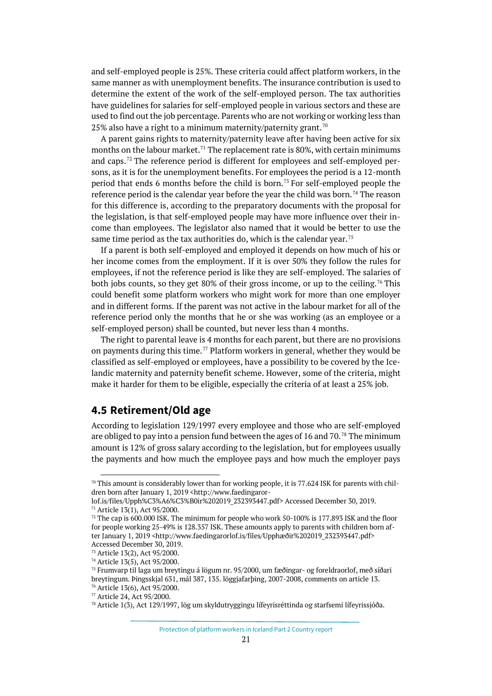and self-employed people is 25%. These criteria could affect platform workers, in the same manner as with unemployment benefits. The insurance contribution is used to determine the extent of the work of the self-employed person. The tax authorities have guidelines for salaries for self-employed people in various sectors and these are used to find out the job percentage. Parents who are not working or working less than 25% also have a right to a minimum maternity/paternity grant.<sup>[70](#page-20-1)</sup>

A parent gains rights to maternity/paternity leave after having been active for six months on the labour market.<sup>[71](#page-20-2)</sup> The replacement rate is 80%, with certain minimums and caps.<sup>[72](#page-20-3)</sup> The reference period is different for employees and self-employed persons, as it is for the unemployment benefits. For employees the period is a 12-month period that ends 6 months before the child is born.<sup>[73](#page-20-4)</sup> For self-employed people the reference period is the calendar year before the year the child was born.<sup>[74](#page-20-5)</sup> The reason for this difference is, according to the preparatory documents with the proposal for the legislation, is that self-employed people may have more influence over their income than employees. The legislator also named that it would be better to use the same time period as the tax authorities do, which is the calendar year.<sup>[75](#page-20-6)</sup>

If a parent is both self-employed and employed it depends on how much of his or her income comes from the employment. If it is over 50% they follow the rules for employees, if not the reference period is like they are self-employed. The salaries of both jobs counts, so they get 80% of their gross income, or up to the ceiling.<sup>[76](#page-20-7)</sup> This could benefit some platform workers who might work for more than one employer and in different forms. If the parent was not active in the labour market for all of the reference period only the months that he or she was working (as an employee or a self-employed person) shall be counted, but never less than 4 months.

The right to parental leave is 4 months for each parent, but there are no provisions on payments during this time.<sup>[77](#page-20-8)</sup> Platform workers in general, whether they would be classified as self-employed or employees, have a possibility to be covered by the Icelandic maternity and paternity benefit scheme. However, some of the criteria, might make it harder for them to be eligible, especially the criteria of at least a 25% job.

### <span id="page-20-0"></span>**4.5 Retirement/Old age**

According to legislation 129/1997 every employee and those who are self-employed are obliged to pay into a pension fund between the ages of 16 and  $70.^{78}$  $70.^{78}$  $70.^{78}$  The minimum amount is 12% of gross salary according to the legislation, but for employees usually the payments and how much the employee pays and how much the employer pays

<span id="page-20-1"></span> $70$  This amount is considerably lower than for working people, it is 77.624 ISK for parents with children born after January 1, 2019 <http://www.faedingaror-

lof.is/files/Upph%C3%A6%C3%B0ir%202019\_232393447.pdf> Accessed December 30, 2019. <sup>71</sup> Article 13(1), Act 95/2000.

<span id="page-20-3"></span><span id="page-20-2"></span> $72$  The cap is 600.000 ISK. The minimum for people who work 50-100% is 177.893 ISK and the floor for people working 25-49% is 128.357 ISK. These amounts apply to parents with children born after January 1, 2019 <http://www.faedingarorlof.is/files/Upphæðir%202019\_232393447.pdf>

<span id="page-20-6"></span><span id="page-20-5"></span>

<span id="page-20-4"></span>Accessed December 30, 2019.<br><sup>73</sup> Article 13(2), Act 95/2000.<br><sup>74</sup> Article 13(5), Act 95/2000.<br><sup>75</sup> Frumvarp til laga um breytingu á lögum nr. 95/2000, um fæðingar- og foreldraorlof, með síðari breytingum. Þingsskjal 631, mál 387, 135. löggjafarþing, 2007-2008, comments on article 13. <sup>76</sup> Article 13(6), Act 95/2000.<br><sup>77</sup> Article 24, Act 95/2000.

<span id="page-20-8"></span><span id="page-20-7"></span>

<span id="page-20-9"></span><sup>78</sup> Article 1(3), Act 129/1997, lög um skyldutryggingu lífeyrisréttinda og starfsemi lífeyrissjóða.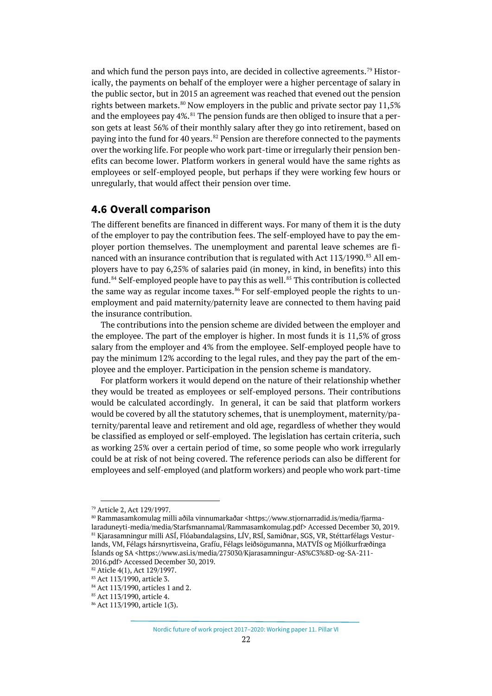and which fund the person pays into, are decided in collective agreements.[79](#page-21-1) Historically, the payments on behalf of the employer were a higher percentage of salary in the public sector, but in 2015 an agreement was reached that evened out the pension rights between markets.<sup>[80](#page-21-2)</sup> Now employers in the public and private sector pay  $11.5\%$ and the employees pay  $4\%$ .<sup>[81](#page-21-3)</sup> The pension funds are then obliged to insure that a person gets at least 56% of their monthly salary after they go into retirement, based on paying into the fund for 40 years. $82$  Pension are therefore connected to the payments over the working life. For people who work part-time or irregularly their pension benefits can become lower. Platform workers in general would have the same rights as employees or self-employed people, but perhaps if they were working few hours or unregularly, that would affect their pension over time.

#### <span id="page-21-0"></span>**4.6 Overall comparison**

The different benefits are financed in different ways. For many of them it is the duty of the employer to pay the contribution fees. The self-employed have to pay the employer portion themselves. The unemployment and parental leave schemes are fi-nanced with an insurance contribution that is regulated with Act 113/1990.<sup>[83](#page-21-5)</sup> All employers have to pay 6,25% of salaries paid (in money, in kind, in benefits) into this fund.<sup>[84](#page-21-6)</sup> Self-employed people have to pay this as well.<sup>[85](#page-21-7)</sup> This contribution is collected the same way as regular income taxes.<sup>[86](#page-21-8)</sup> For self-employed people the rights to unemployment and paid maternity/paternity leave are connected to them having paid the insurance contribution.

The contributions into the pension scheme are divided between the employer and the employee. The part of the employer is higher. In most funds it is 11,5% of gross salary from the employer and 4% from the employee. Self-employed people have to pay the minimum 12% according to the legal rules, and they pay the part of the employee and the employer. Participation in the pension scheme is mandatory.

For platform workers it would depend on the nature of their relationship whether they would be treated as employees or self-employed persons. Their contributions would be calculated accordingly. In general, it can be said that platform workers would be covered by all the statutory schemes, that is unemployment, maternity/paternity/parental leave and retirement and old age, regardless of whether they would be classified as employed or self-employed. The legislation has certain criteria, such as working 25% over a certain period of time, so some people who work irregularly could be at risk of not being covered. The reference periods can also be different for employees and self-employed (and platform workers) and people who work part-time

<span id="page-21-3"></span>

<span id="page-21-2"></span><span id="page-21-1"></span><sup>&</sup>lt;sup>79</sup> Article 2, Act 129/1997.<br><sup>80</sup> Rammasamkomulag milli aðila vinnumarkaðar <https://www.stjornarradid.is/media/fjarmalaraduneyti-media/media/Starfsmannamal/Rammasamkomulag.pdf> Accessed December 30, 2019. <sup>81</sup> Kjarasamningur milli ASÍ, Flóabandalagsins, LÍV, RSÍ, Samiðnar, SGS, VR, Stéttarfélags Vesturlands, VM, Félags hársnyrtisveina, Grafíu, Félags leiðsögumanna, MATVÍS og Mjólkurfræðinga Íslands og SA <https://www.asi.is/media/275030/Kjarasamningur-AS%C3%8D-og-SA-211-

<sup>2016.</sup>pdf> Accessed December 30, 2019.<br><sup>82</sup> Aticle 4(1), Act 129/1997.

<span id="page-21-5"></span><span id="page-21-4"></span><sup>83</sup> Act 113/1990, article 3.

<span id="page-21-6"></span> $84$  Act 113/1990, articles 1 and 2.<br> $85$  Act 113/1990, article 4.

<span id="page-21-8"></span><span id="page-21-7"></span><sup>86</sup> Act 113/1990, article 1(3).